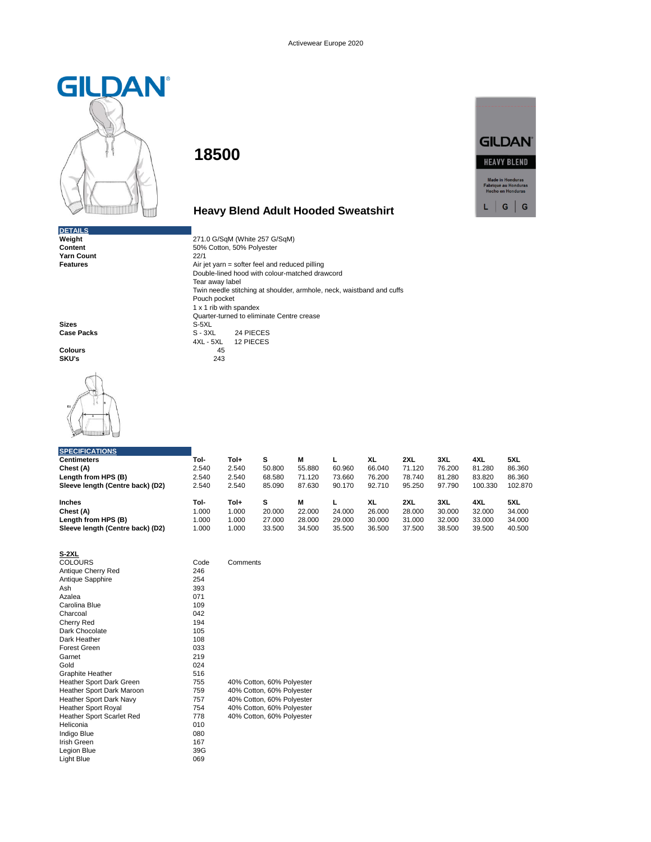

## **18500**

## **Heavy Blend Adult Hooded Sweatshirt**

**DETAILS Yarn Count**<br>Features

**Sizes** S-5XL<br> **Case Packs** S-3XL

**SKU's** 



**Weight** 271.0 G/SqM (White 257 G/SqM)<br> **Content** 271.0 G/SqM (White 257 G/SqM) 50% Cotton, 50% Polyester<br>22/1 **Features Air jet yarn = softer feel and reduced pilling Features A** *i* Double-lined hood with colour-matched drawcord Tear away label Twin needle stitching at shoulder, armhole, neck, waistband and cuffs Pouch pocket 1 x 1 rib with spandex Quarter-turned to eliminate Centre crease Case Packs S - 3XL 24 PIECES 4XL - 5XL 12 PIECES **Colours** 45<br>**SKU's** 243

| <b>SPECIFICATIONS</b>            |       |       |        |        |        |        |        |        |         |         |
|----------------------------------|-------|-------|--------|--------|--------|--------|--------|--------|---------|---------|
| <b>Centimeters</b>               | Tol-  | Tol+  | s      | М      |        | XL     | 2XL    | 3XL    | 4XL     | 5XL     |
| Chest (A)                        | 2.540 | 2.540 | 50.800 | 55.880 | 60.960 | 66.040 | 71.120 | 76.200 | 81.280  | 86.360  |
| Length from HPS (B)              | 2.540 | 2.540 | 68.580 | 71.120 | 73.660 | 76.200 | 78.740 | 81.280 | 83.820  | 86.360  |
| Sleeve length (Centre back) (D2) | 2.540 | 2.540 | 85.090 | 87.630 | 90.170 | 92.710 | 95.250 | 97.790 | 100.330 | 102.870 |
| <b>Inches</b>                    | Tol-  | Tol+  | s      | М      |        | XL     | 2XL    | 3XL    | 4XL     | 5XL     |
| Chest (A)                        | 1.000 | 1.000 | 20.000 | 22,000 | 24.000 | 26.000 | 28.000 | 30.000 | 32.000  | 34.000  |
| Length from HPS (B)              | 1.000 | 1.000 | 27.000 | 28,000 | 29,000 | 30.000 | 31.000 | 32.000 | 33,000  | 34.000  |
| Sleeve length (Centre back) (D2) | 1.000 | 1.000 | 33.500 | 34.500 | 35.500 | 36.500 | 37.500 | 38.500 | 39.500  | 40.500  |

| S-2XL                            |      |                           |  |  |  |  |
|----------------------------------|------|---------------------------|--|--|--|--|
| <b>COLOURS</b>                   | Code | Comments                  |  |  |  |  |
| Antique Cherry Red               | 246  |                           |  |  |  |  |
| Antique Sapphire                 | 254  |                           |  |  |  |  |
| Ash                              | 393  |                           |  |  |  |  |
| Azalea                           | 071  |                           |  |  |  |  |
| Carolina Blue                    | 109  |                           |  |  |  |  |
| Charcoal                         | 042  |                           |  |  |  |  |
| Cherry Red                       | 194  |                           |  |  |  |  |
| Dark Chocolate                   | 105  |                           |  |  |  |  |
| Dark Heather                     | 108  |                           |  |  |  |  |
| Forest Green                     | 033  |                           |  |  |  |  |
| Garnet                           | 219  |                           |  |  |  |  |
| Gold                             | 024  |                           |  |  |  |  |
| <b>Graphite Heather</b>          | 516  |                           |  |  |  |  |
| Heather Sport Dark Green         | 755  | 40% Cotton, 60% Polyester |  |  |  |  |
| Heather Sport Dark Maroon        | 759  | 40% Cotton, 60% Polyester |  |  |  |  |
| Heather Sport Dark Navy          | 757  | 40% Cotton, 60% Polyester |  |  |  |  |
| <b>Heather Sport Royal</b>       | 754  | 40% Cotton, 60% Polyester |  |  |  |  |
| <b>Heather Sport Scarlet Red</b> | 778  | 40% Cotton, 60% Polyester |  |  |  |  |
| Heliconia                        | 010  |                           |  |  |  |  |
| Indigo Blue                      | 080  |                           |  |  |  |  |
| <b>Irish Green</b>               | 167  |                           |  |  |  |  |
| Legion Blue                      | 39G  |                           |  |  |  |  |
| Light Blue                       | 069  |                           |  |  |  |  |